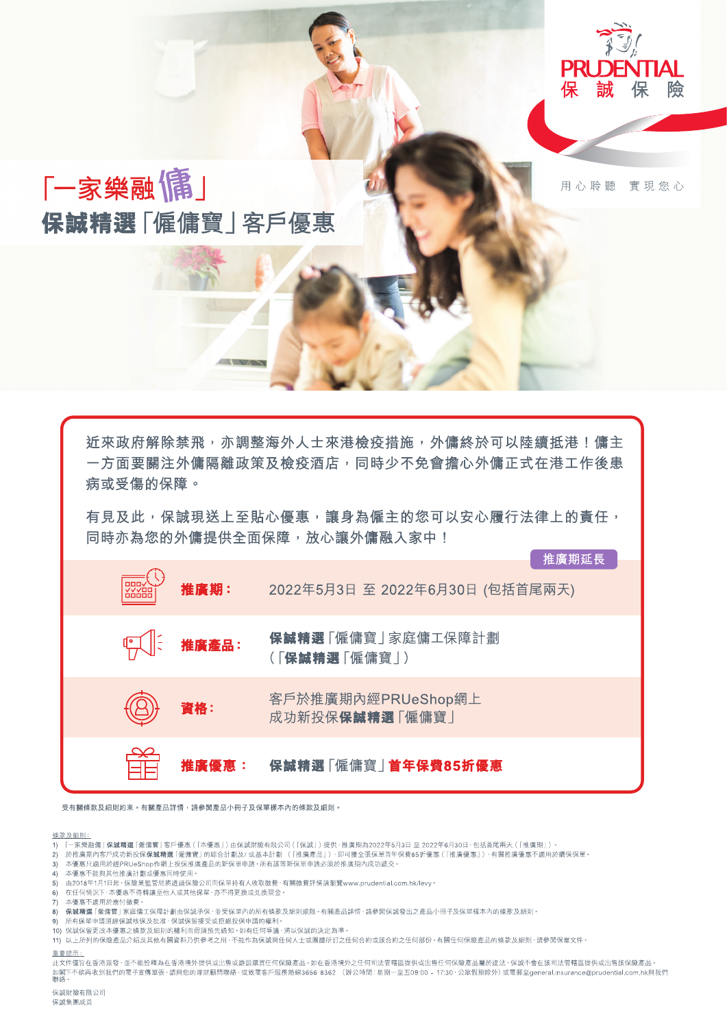

#### 保誠精選「僱傭寶」首年保費85折優惠 惟廣優惠:

受有關條款及細則約束。有關產品詳情,請參閲產品小冊子及保單樣本內的條款及細則。

### 條款及細則:

- 1) 「一家樂融傭」保誠精選「僱傭寶」客戶優惠(「本優惠」)由保誠財險有限公司(「保誠」)提供・推廣期為2022年5月3日 至 2022年6月30日・包括首尾兩天(「推廣期」)。
- 
- 3) 本優惠只適用於經PRUeShop作網上投保推廣產品的新保單申請。所有該等新保單申請必須於推廣期內成功遞交。
- 4) 本優惠不能與其他推廣計劃或優惠同時使用。
- 5) 由2018年1月1日起,保險業監管局將透過保險公司向保單持有人收取徵費,有關徵費詳情請瀏覽www.prudential.com.hk/levy。
- 6) 在任何情況下,本優惠不得轉讓至他人或其他保單,亦不得更換或兑換現金。
- 。<br>7) 本優惠不適用於應付徵費。
- 8) 保誠精選「僱傭寶」家庭傭工保障計劃由保誠承保,並受保單內的所有條款及細則規限。有關產品詳情,請參閱保誠發出之產品小冊子及保單樣本內的條款及細則。
- 9) 所有保單申請須經保誠核保及批准,保誠保留接受或拒絕投保申請的權利。
- 
- ・・・。<br>11) 以上所列的保險產品介紹及其他有關資料乃供參考之用,不能作為保誠與任何人士或團體所訂之任何合約或該合約之任何部份。有關任何保險產品的條款及細則,請參関保單文件。

## 重要提示

,<br>此文件僅旨在香港派發 · 並不能詮釋為在香港境外提供或出售或遊説購買任何保險產品 • 如在香港境外之任何司法管轄區提供或出售任何保險產品屬於違法 · 保誠不會在該司法管轄區提供或出售該保險產品